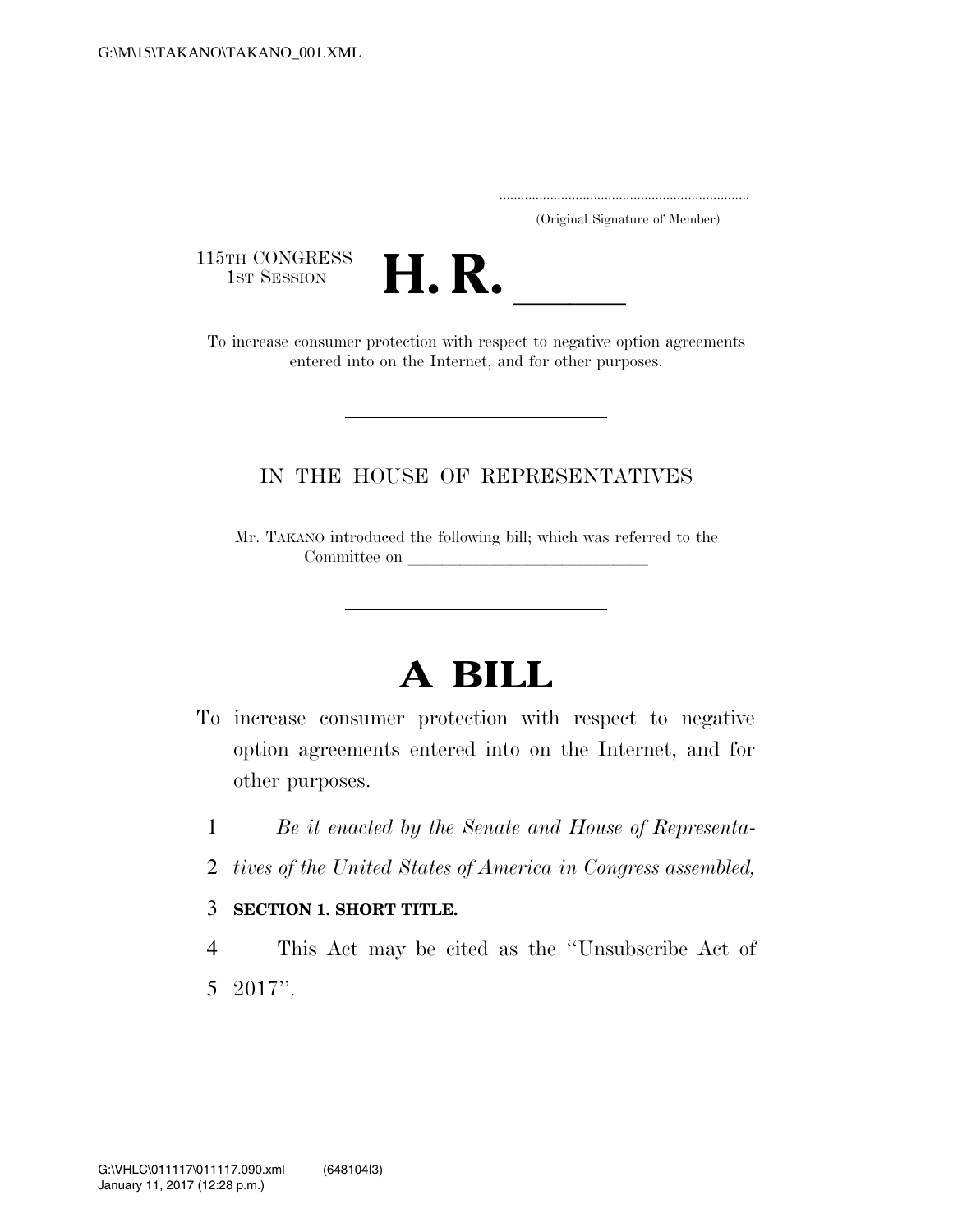..................................................................... (Original Signature of Member)

115TH CONGRESS<br>1st Session



1STH CONGRESS<br>1ST SESSION **H. R.** <u>Increase consumer protection</u> with respect to negative option agreements entered into on the Internet, and for other purposes.

### IN THE HOUSE OF REPRESENTATIVES

Mr. TAKANO introduced the following bill; which was referred to the Committee on

# **A BILL**

- To increase consumer protection with respect to negative option agreements entered into on the Internet, and for other purposes.
	- 1 *Be it enacted by the Senate and House of Representa-*
	- 2 *tives of the United States of America in Congress assembled,*

### 3 **SECTION 1. SHORT TITLE.**

4 This Act may be cited as the ''Unsubscribe Act of 5 2017''.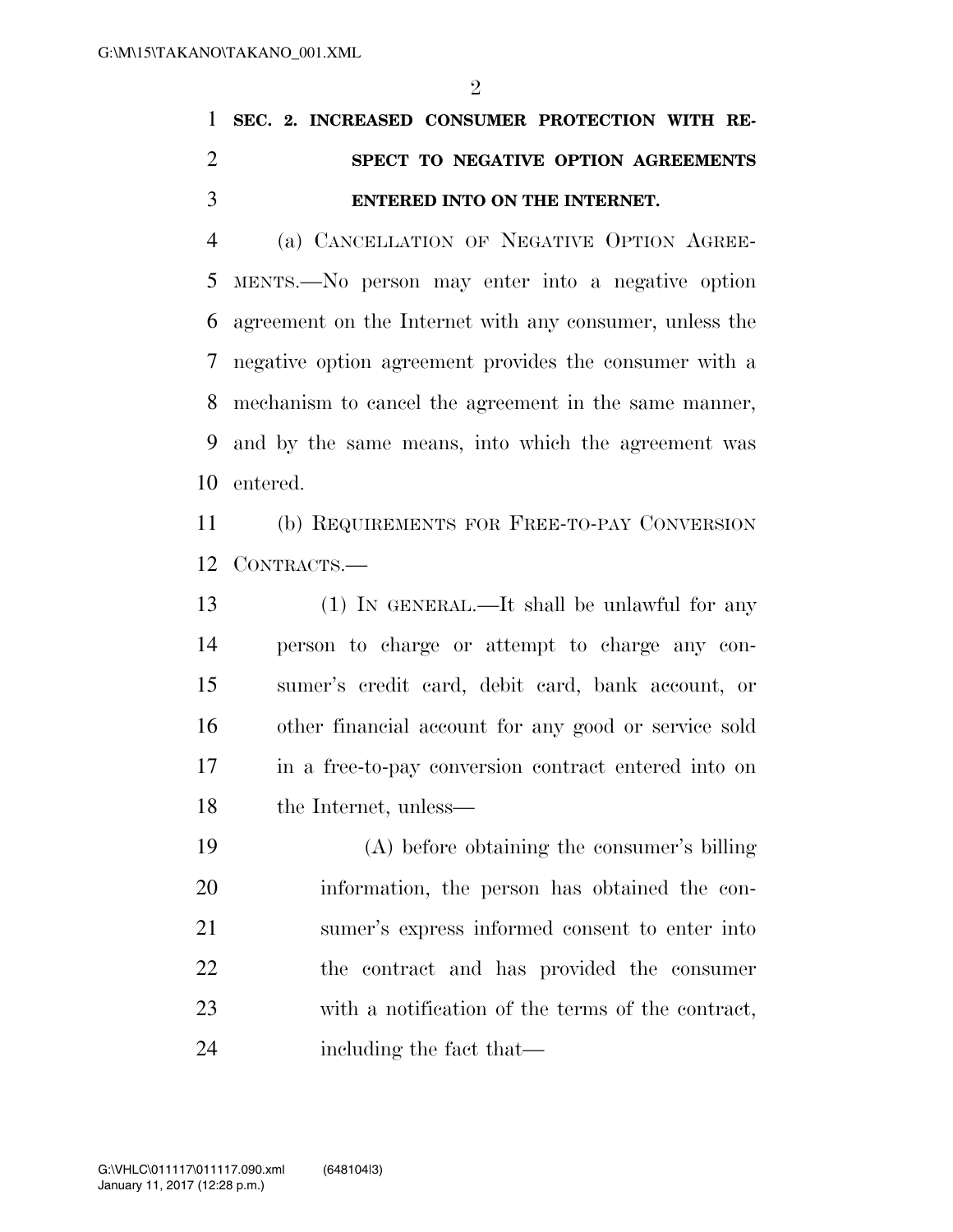## **SEC. 2. INCREASED CONSUMER PROTECTION WITH RE- SPECT TO NEGATIVE OPTION AGREEMENTS ENTERED INTO ON THE INTERNET.**

 (a) CANCELLATION OF NEGATIVE OPTION AGREE- MENTS.—No person may enter into a negative option agreement on the Internet with any consumer, unless the negative option agreement provides the consumer with a mechanism to cancel the agreement in the same manner, and by the same means, into which the agreement was entered.

 (b) REQUIREMENTS FOR FREE-TO-PAY CONVERSION CONTRACTS.—

 (1) IN GENERAL.—It shall be unlawful for any person to charge or attempt to charge any con- sumer's credit card, debit card, bank account, or other financial account for any good or service sold in a free-to-pay conversion contract entered into on the Internet, unless—

 (A) before obtaining the consumer's billing information, the person has obtained the con- sumer's express informed consent to enter into the contract and has provided the consumer with a notification of the terms of the contract, including the fact that—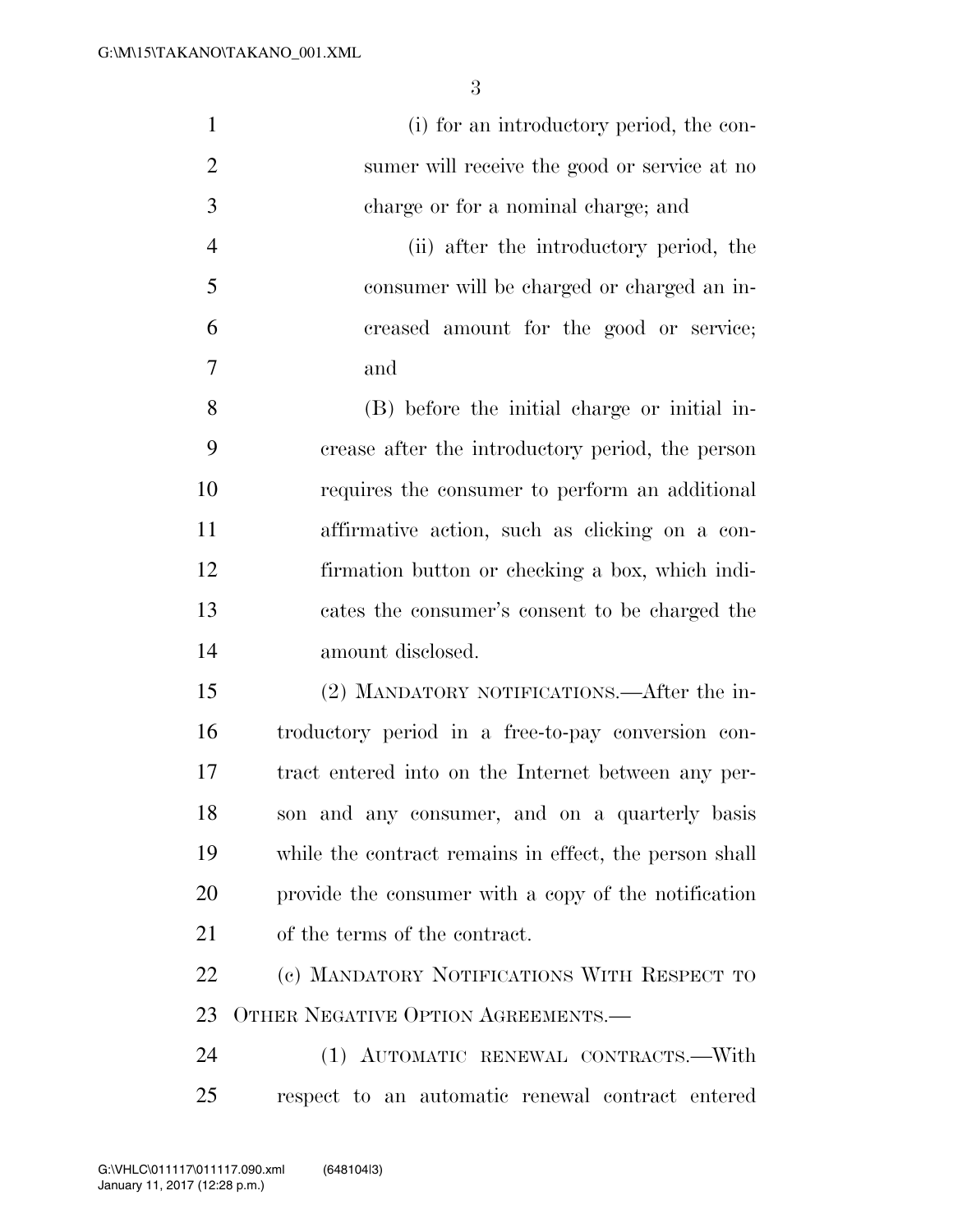| $\mathbf{1}$   | (i) for an introductory period, the con-               |
|----------------|--------------------------------------------------------|
| $\overline{2}$ | sumer will receive the good or service at no           |
| 3              | charge or for a nominal charge; and                    |
| $\overline{4}$ | (ii) after the introductory period, the                |
| 5              | consumer will be charged or charged an in-             |
| 6              | creased amount for the good or service;                |
| $\overline{7}$ | and                                                    |
| 8              | (B) before the initial charge or initial in-           |
| 9              | crease after the introductory period, the person       |
| 10             | requires the consumer to perform an additional         |
| 11             | affirmative action, such as clicking on a con-         |
| 12             | firmation button or checking a box, which indi-        |
| 13             | cates the consumer's consent to be charged the         |
| 14             | amount disclosed.                                      |
| 15             | (2) MANDATORY NOTIFICATIONS.—After the in-             |
| 16             | troductory period in a free-to-pay conversion con-     |
| 17             | tract entered into on the Internet between any per-    |
| 18             | son and any consumer, and on a quarterly basis         |
| 19             | while the contract remains in effect, the person shall |
| 20             | provide the consumer with a copy of the notification   |
| 21             | of the terms of the contract.                          |
| 22             | (c) MANDATORY NOTIFICATIONS WITH RESPECT TO            |
| 23             | OTHER NEGATIVE OPTION AGREEMENTS.—                     |
| 24             | (1) AUTOMATIC RENEWAL CONTRACTS.—With                  |
| 25             | respect to an automatic renewal contract entered       |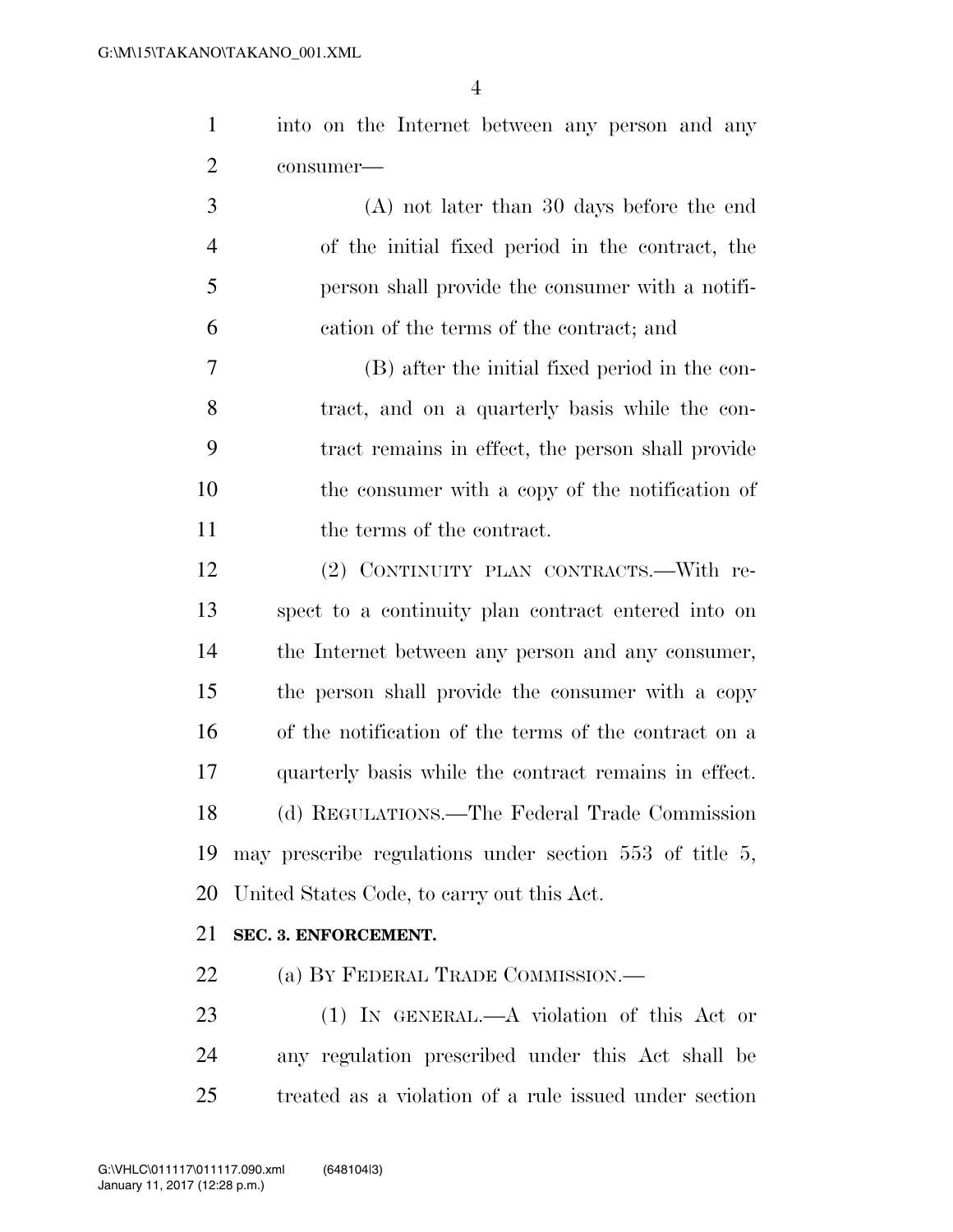|           | into on the Internet between any person and any |  |  |  |
|-----------|-------------------------------------------------|--|--|--|
| consumer— |                                                 |  |  |  |

 (A) not later than 30 days before the end of the initial fixed period in the contract, the person shall provide the consumer with a notifi-cation of the terms of the contract; and

 (B) after the initial fixed period in the con- tract, and on a quarterly basis while the con- tract remains in effect, the person shall provide the consumer with a copy of the notification of 11 the terms of the contract.

 (2) CONTINUITY PLAN CONTRACTS.—With re- spect to a continuity plan contract entered into on the Internet between any person and any consumer, the person shall provide the consumer with a copy of the notification of the terms of the contract on a quarterly basis while the contract remains in effect. (d) REGULATIONS.—The Federal Trade Commission may prescribe regulations under section 553 of title 5, United States Code, to carry out this Act.

### **SEC. 3. ENFORCEMENT.**

22 (a) BY FEDERAL TRADE COMMISSION.—

 (1) IN GENERAL.—A violation of this Act or any regulation prescribed under this Act shall be treated as a violation of a rule issued under section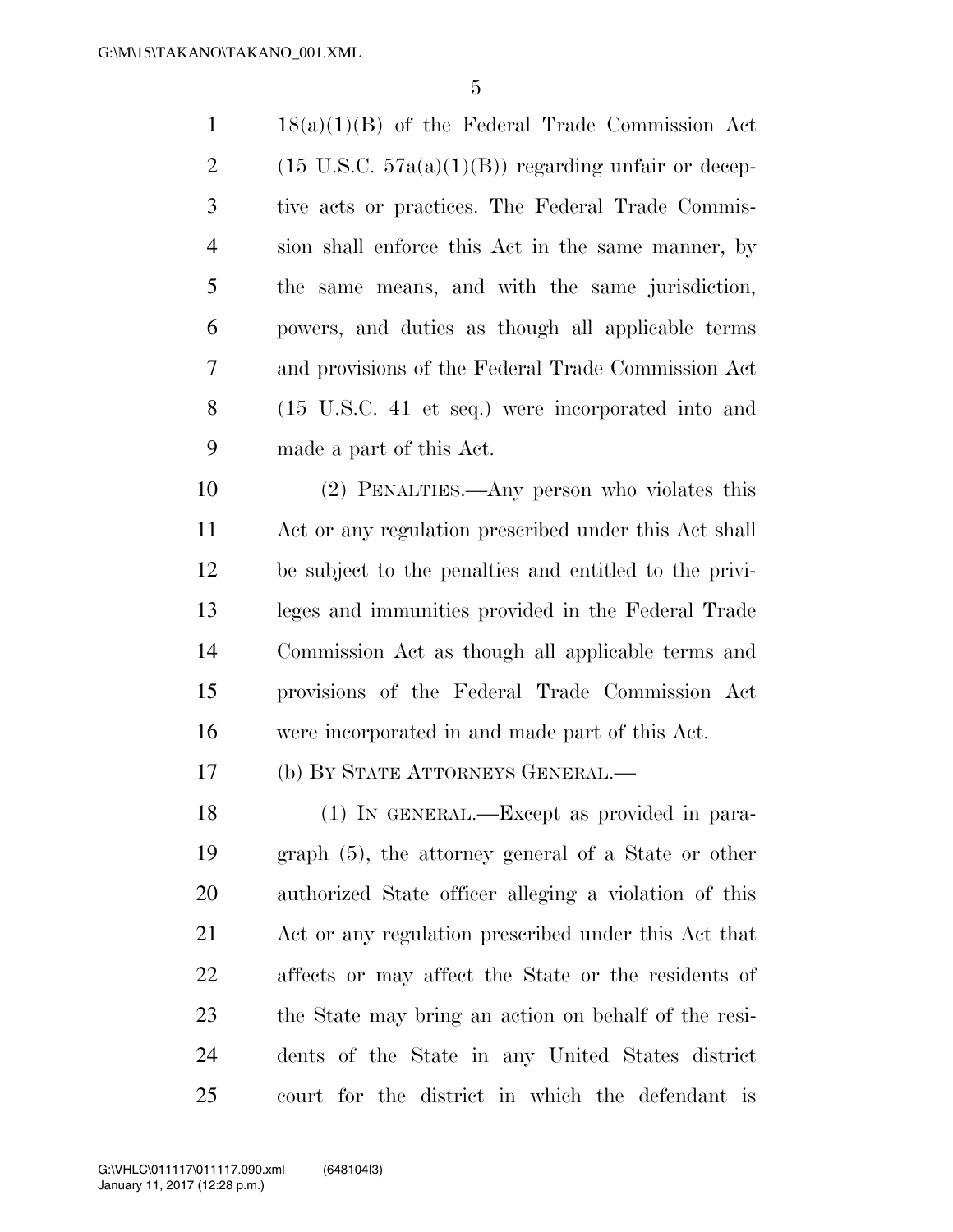18(a)(1)(B) of the Federal Trade Commission Act 2 (15 U.S.C.  $57a(a)(1)(B)$ ) regarding unfair or decep- tive acts or practices. The Federal Trade Commis- sion shall enforce this Act in the same manner, by the same means, and with the same jurisdiction, powers, and duties as though all applicable terms and provisions of the Federal Trade Commission Act (15 U.S.C. 41 et seq.) were incorporated into and made a part of this Act.

 (2) PENALTIES.—Any person who violates this Act or any regulation prescribed under this Act shall be subject to the penalties and entitled to the privi- leges and immunities provided in the Federal Trade Commission Act as though all applicable terms and provisions of the Federal Trade Commission Act were incorporated in and made part of this Act.

(b) BY STATE ATTORNEYS GENERAL.—

 (1) IN GENERAL.—Except as provided in para- graph (5), the attorney general of a State or other authorized State officer alleging a violation of this Act or any regulation prescribed under this Act that affects or may affect the State or the residents of the State may bring an action on behalf of the resi- dents of the State in any United States district court for the district in which the defendant is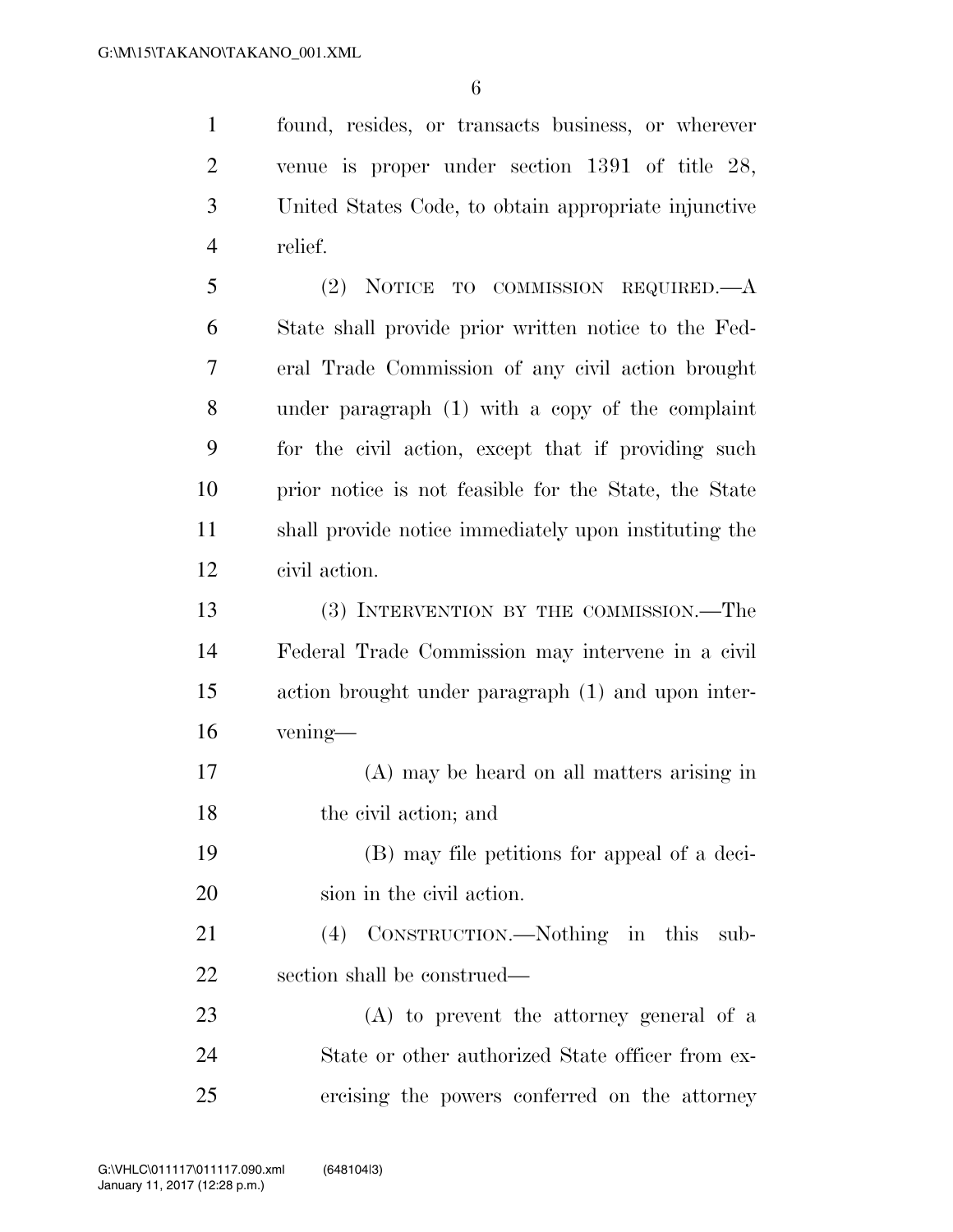found, resides, or transacts business, or wherever venue is proper under section 1391 of title 28, United States Code, to obtain appropriate injunctive relief.

 (2) NOTICE TO COMMISSION REQUIRED.—A State shall provide prior written notice to the Fed- eral Trade Commission of any civil action brought under paragraph (1) with a copy of the complaint for the civil action, except that if providing such prior notice is not feasible for the State, the State shall provide notice immediately upon instituting the civil action.

 (3) INTERVENTION BY THE COMMISSION.—The Federal Trade Commission may intervene in a civil action brought under paragraph (1) and upon inter-vening—

 (A) may be heard on all matters arising in the civil action; and

 (B) may file petitions for appeal of a deci-sion in the civil action.

 (4) CONSTRUCTION.—Nothing in this sub-section shall be construed—

 (A) to prevent the attorney general of a State or other authorized State officer from ex-ercising the powers conferred on the attorney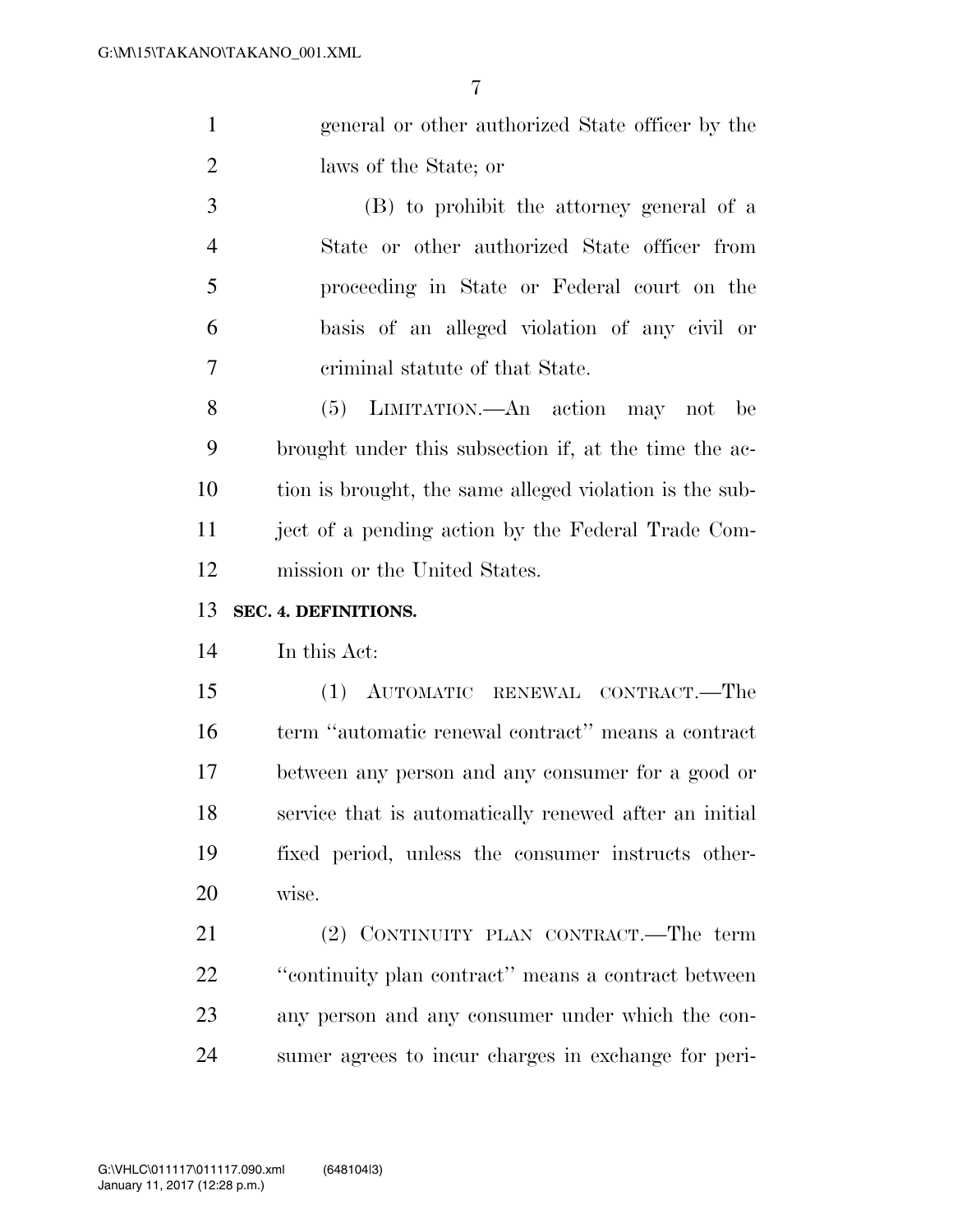| general or other authorized State officer by the |
|--------------------------------------------------|
| laws of the State; or                            |

 (B) to prohibit the attorney general of a State or other authorized State officer from proceeding in State or Federal court on the basis of an alleged violation of any civil or criminal statute of that State.

 (5) LIMITATION.—An action may not be brought under this subsection if, at the time the ac- tion is brought, the same alleged violation is the sub- ject of a pending action by the Federal Trade Com-mission or the United States.

#### **SEC. 4. DEFINITIONS.**

In this Act:

 (1) AUTOMATIC RENEWAL CONTRACT.—The term ''automatic renewal contract'' means a contract between any person and any consumer for a good or service that is automatically renewed after an initial fixed period, unless the consumer instructs other-wise.

 (2) CONTINUITY PLAN CONTRACT.—The term ''continuity plan contract'' means a contract between any person and any consumer under which the con-sumer agrees to incur charges in exchange for peri-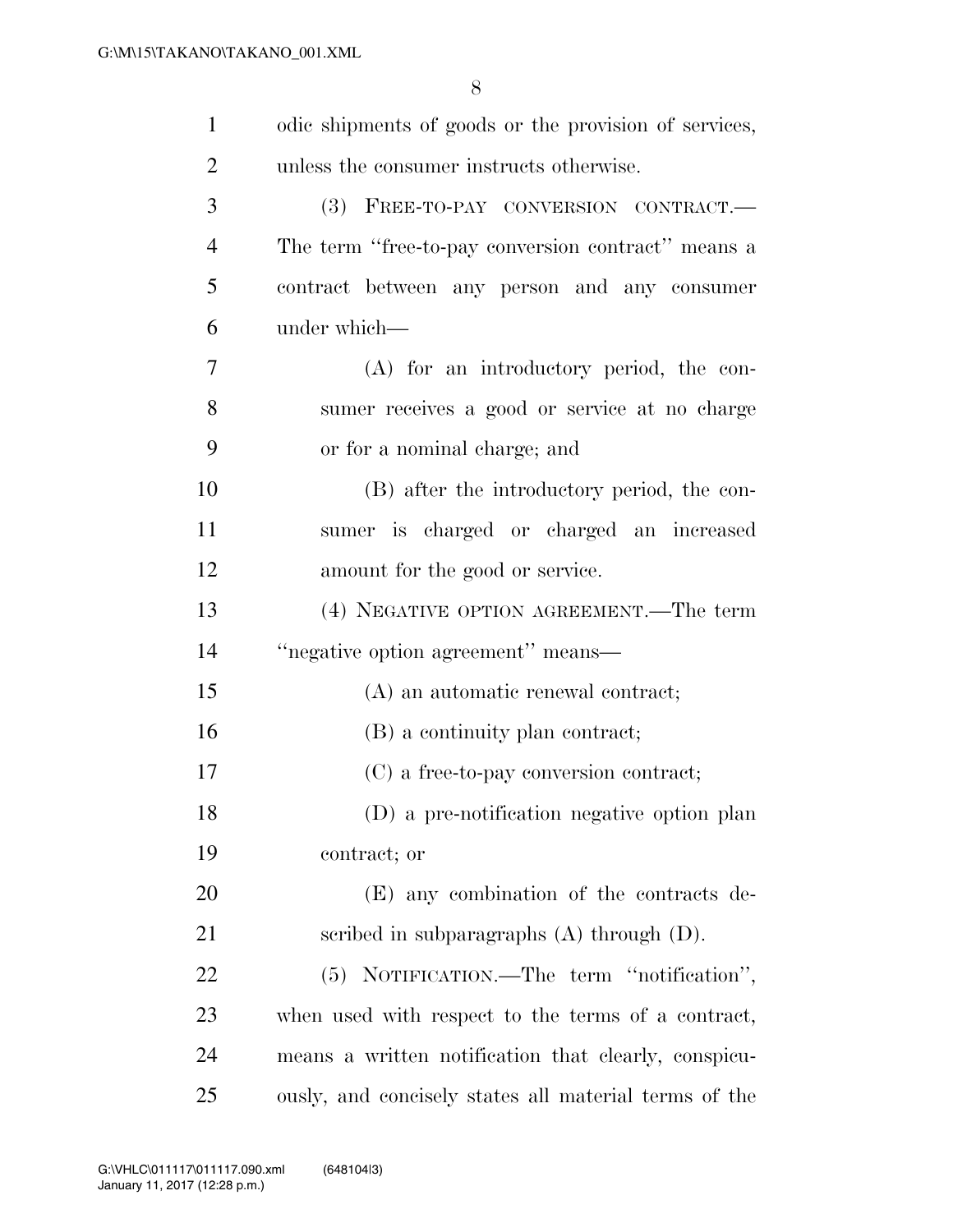| $\mathbf{1}$   | odic shipments of goods or the provision of services, |
|----------------|-------------------------------------------------------|
| $\overline{2}$ | unless the consumer instructs otherwise.              |
| 3              | (3) FREE-TO-PAY CONVERSION CONTRACT.                  |
| $\overline{4}$ | The term "free-to-pay conversion contract" means a    |
| 5              | contract between any person and any consumer          |
| 6              | under which-                                          |
| 7              | (A) for an introductory period, the con-              |
| 8              | sumer receives a good or service at no charge         |
| 9              | or for a nominal charge; and                          |
| 10             | (B) after the introductory period, the con-           |
| 11             | sumer is charged or charged an increased              |
| 12             | amount for the good or service.                       |
| 13             | (4) NEGATIVE OPTION AGREEMENT.—The term               |
| 14             | "negative option agreement" means—                    |
| 15             | (A) an automatic renewal contract;                    |
| 16             | (B) a continuity plan contract;                       |
| 17             | (C) a free-to-pay conversion contract;                |
| 18             | (D) a pre-notification negative option plan           |
| 19             | contract; or                                          |
| 20             | (E) any combination of the contracts de-              |
| 21             | scribed in subparagraphs $(A)$ through $(D)$ .        |
| 22             | (5) NOTIFICATION.—The term "notification",            |
| 23             | when used with respect to the terms of a contract,    |
| 24             | means a written notification that clearly, conspicu-  |
| 25             | ously, and concisely states all material terms of the |